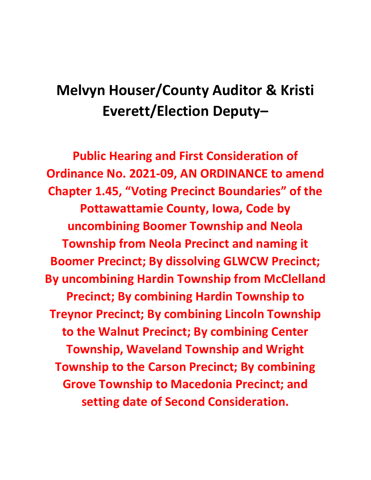# **Melvyn Houser/County Auditor & Kristi Everett/Election Deputy–**

**Public Hearing and First Consideration of Ordinance No. 2021-09, AN ORDINANCE to amend Chapter 1.45, "Voting Precinct Boundaries" of the Pottawattamie County, Iowa, Code by uncombining Boomer Township and Neola Township from Neola Precinct and naming it Boomer Precinct; By dissolving GLWCW Precinct; By uncombining Hardin Township from McClelland Precinct; By combining Hardin Township to Treynor Precinct; By combining Lincoln Township to the Walnut Precinct; By combining Center Township, Waveland Township and Wright Township to the Carson Precinct; By combining Grove Township to Macedonia Precinct; and setting date of Second Consideration.**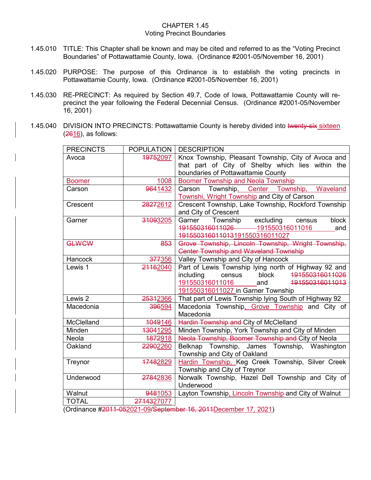#### CHAPTER 1.45 Voting Precinct Boundaries

- 1.45.010 TITLE: This Chapter shall be known and may be cited and referred to as the "Voting Precinct Boundaries" of Pottawattamie County, Iowa. (Ordinance #2001-05/November 16, 2001)
- 1.45.020 PURPOSE: The purpose of this Ordinance is to establish the voting precincts in Pottawattamie County, Iowa. (Ordinance #2001-05/November 16, 2001)
- 1.45.030 RE-PRECINCT: As required by Section 49.7, Code of Iowa, Pottawattamie County will reprecinct the year following the Federal Decennial Census. (Ordinance #2001-05/November 16, 2001)
- 1.45.040 DIVISION INTO PRECINCTS: Pottawattamie County is hereby divided into twenty-six sixteen (2616), as follows:

| <b>PRECINCTS</b>                                               | <b>POPULATION</b>    | <b>DESCRIPTION</b>                                    |  |  |
|----------------------------------------------------------------|----------------------|-------------------------------------------------------|--|--|
| Avoca                                                          | <del>1975</del> 2097 | Knox Township, Pleasant Township, City of Avoca and   |  |  |
|                                                                |                      | that part of City of Shelby which lies within the     |  |  |
|                                                                |                      | boundaries of Pottawattamie County                    |  |  |
| <b>Boomer</b>                                                  | 1008                 | <b>Boomer Township and Neola Township</b>             |  |  |
| Carson                                                         | 9641432              | Carson Township, Center Township, Waveland            |  |  |
|                                                                |                      | Townshi, Wright Township and City of Carson           |  |  |
| Crescent                                                       | 28272612             | Crescent Township, Lake Township, Rockford Township   |  |  |
|                                                                |                      | and City of Crescent                                  |  |  |
| Garner                                                         | 31093205             | excluding<br>Township<br>block<br>Garner<br>census    |  |  |
|                                                                |                      | 191550316011026 191550316011016<br>and                |  |  |
|                                                                |                      | 491550316011013191550316011027                        |  |  |
| <b>GLWCW</b>                                                   | 853                  | Grove Township, Lincoln Township, Wright Township,    |  |  |
|                                                                |                      | <b>Center Township and Waveland Township</b>          |  |  |
| <b>Hancock</b>                                                 | 377356               | Valley Township and City of Hancock                   |  |  |
| Lewis 1                                                        | 21162040             | Part of Lewis Township lying north of Highway 92 and  |  |  |
|                                                                |                      | 191550316011026<br>block<br>including<br>census       |  |  |
|                                                                |                      | 191550316011016<br>191550316011013<br>and             |  |  |
|                                                                |                      | 191550316011027 in Garner Township                    |  |  |
| Lewis 2                                                        | 25312366             | That part of Lewis Township lying South of Highway 92 |  |  |
| Macedonia                                                      | 396594               | Macedonia Township, Grove Township and City of        |  |  |
|                                                                |                      | Macedonia                                             |  |  |
| McClelland                                                     | 1049146              | Hardin Township and City of McClelland                |  |  |
| Minden                                                         | 13041295             | Minden Township, York Township and City of Minden     |  |  |
| Neola                                                          | 1872918              | Neola Township, Boomer Township and City of Neola     |  |  |
| Oakland                                                        | 22902260             | Belknap Township, James Township, Washington          |  |  |
|                                                                |                      | Township and City of Oakland                          |  |  |
| Treynor                                                        | 17482829             | Hardin Township, Keg Creek Township, Silver Creek     |  |  |
|                                                                |                      | Township and City of Treynor                          |  |  |
| Underwood                                                      | 27842836             | Norwalk Township, Hazel Dell Township and City of     |  |  |
|                                                                |                      | Underwood                                             |  |  |
| Walnut                                                         | 9481053              | Layton Township, Lincoln Township-and City of Walnut  |  |  |
| <b>TOTAL</b>                                                   | 2714327077           |                                                       |  |  |
| Ordinance #2011-052021-09/September 16, 2011December 17, 2021) |                      |                                                       |  |  |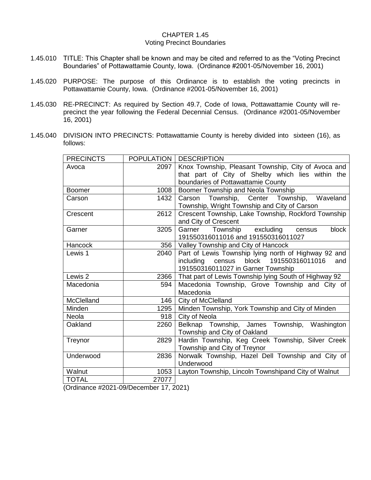#### CHAPTER 1.45 Voting Precinct Boundaries

- 1.45.010 TITLE: This Chapter shall be known and may be cited and referred to as the "Voting Precinct Boundaries" of Pottawattamie County, Iowa. (Ordinance #2001-05/November 16, 2001)
- 1.45.020 PURPOSE: The purpose of this Ordinance is to establish the voting precincts in Pottawattamie County, Iowa. (Ordinance #2001-05/November 16, 2001)
- 1.45.030 RE-PRECINCT: As required by Section 49.7, Code of Iowa, Pottawattamie County will reprecinct the year following the Federal Decennial Census. (Ordinance #2001-05/November 16, 2001)
- 1.45.040 DIVISION INTO PRECINCTS: Pottawattamie County is hereby divided into sixteen (16), as follows:

| <b>PRECINCTS</b> |       | <b>POPULATION   DESCRIPTION</b>                       |
|------------------|-------|-------------------------------------------------------|
| Avoca            | 2097  | Knox Township, Pleasant Township, City of Avoca and   |
|                  |       | that part of City of Shelby which lies within the     |
|                  |       | boundaries of Pottawattamie County                    |
| <b>Boomer</b>    | 1008  | Boomer Township and Neola Township                    |
| Carson           | 1432  | Carson Township, Center Township,<br>Waveland         |
|                  |       | Township, Wright Township and City of Carson          |
| Crescent         | 2612  | Crescent Township, Lake Township, Rockford Township   |
|                  |       | and City of Crescent                                  |
| Garner           | 3205  | Township excluding<br>block<br>Garner<br>census       |
|                  |       | 191550316011016 and 191550316011027                   |
| <b>Hancock</b>   | 356   | Valley Township and City of Hancock                   |
| Lewis 1          | 2040  | Part of Lewis Township lying north of Highway 92 and  |
|                  |       | including census block 191550316011016<br>and         |
|                  |       | 191550316011027 in Garner Township                    |
| Lewis 2          | 2366  | That part of Lewis Township lying South of Highway 92 |
| Macedonia        | 594   | Macedonia Township, Grove Township and City of        |
|                  |       | Macedonia                                             |
| McClelland       | 146   | City of McClelland                                    |
| Minden           | 1295  | Minden Township, York Township and City of Minden     |
| <b>Neola</b>     | 918   | City of Neola                                         |
| Oakland          | 2260  | Belknap Township, James Township, Washington          |
|                  |       | Township and City of Oakland                          |
| Treynor          | 2829  | Hardin Township, Keg Creek Township, Silver Creek     |
|                  |       | Township and City of Treynor                          |
| Underwood        | 2836  | Norwalk Township, Hazel Dell Township and City of     |
|                  |       | Underwood                                             |
| Walnut           | 1053  | Layton Township, Lincoln Townshipand City of Walnut   |
| <b>TOTAL</b>     | 27077 |                                                       |

(Ordinance #2021-09/December 17, 2021)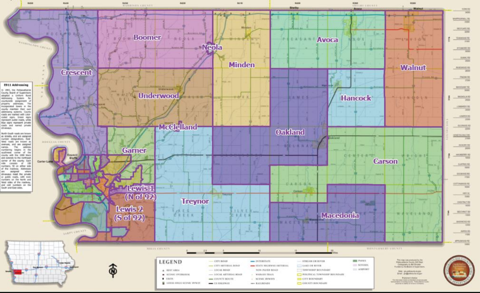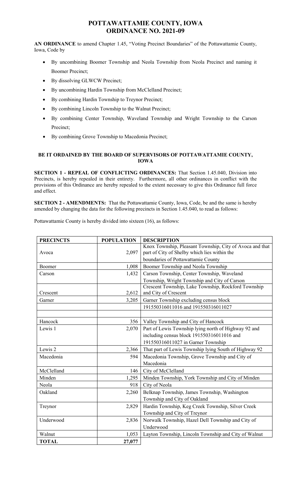## **POTTAWATTAMIE COUNTY, IOWA ORDINANCE NO. 2021-09**

**AN ORDINANCE** to amend Chapter 1.45, "Voting Precinct Boundaries" of the Pottawattamie County, Iowa, Code by

- By uncombining Boomer Township and Neola Township from Neola Precinct and naming it Boomer Precinct;
- By dissolving GLWCW Precinct;
- By uncombining Hardin Township from McClelland Precinct;
- By combining Hardin Township to Treynor Precinct;
- By combining Lincoln Township to the Walnut Precinct;
- By combining Center Township, Waveland Township and Wright Township to the Carson Precinct;
- By combining Grove Township to Macedonia Precinct;

## **BE IT ORDAINED BY THE BOARD OF SUPERVISORS OF POTTAWATTAMIE COUNTY, IOWA**

**SECTION 1 - REPEAL OF CONFLICTING ORDINANCES:** That Section 1.45.040, Division into Precincts, is hereby repealed in their entirety. Furthermore, all other ordinances in conflict with the provisions of this Ordinance are hereby repealed to the extent necessary to give this Ordinance full force and effect.

**SECTION 2 - AMENDMENTS:** That the Pottawattamie County, Iowa, Code, be and the same is hereby amended by changing the data for the following precincts in Section 1.45.040, to read as follows:

Pottawattamie County is hereby divided into sixteen (16), as follows:

| <b>PRECINCTS</b> | <b>POPULATION</b> | <b>DESCRIPTION</b>                                       |
|------------------|-------------------|----------------------------------------------------------|
|                  |                   | Knox Township, Pleasant Township, City of Avoca and that |
| Avoca            | 2,097             | part of City of Shelby which lies within the             |
|                  |                   | boundaries of Pottawattamie County                       |
| Boomer           | 1,008             | Boomer Township and Neola Township                       |
| Carson           | 1,432             | Carson Township, Center Township, Waveland               |
|                  |                   | Township, Wright Township and City of Carson             |
|                  |                   | Crescent Township, Lake Township, Rockford Township      |
| Crescent         | 2,612             | and City of Crescent                                     |
| Garner           | 3,205             | Garner Township excluding census block                   |
|                  |                   | 191550316011016 and 191550316011027                      |
|                  |                   |                                                          |
| Hancock          | 356               | Valley Township and City of Hancock                      |
| Lewis 1          | 2,070             | Part of Lewis Township lying north of Highway 92 and     |
|                  |                   | including census block 191550316011016 and               |
|                  |                   | 191550316011027 in Garner Township                       |
| Lewis 2          | 2,366             | That part of Lewis Township lying South of Highway 92    |
| Macedonia        | 594               | Macedonia Township, Grove Township and City of           |
|                  |                   | Macedonia                                                |
| McClelland       | 146               | City of McClelland                                       |
| Minden           | 1,295             | Minden Township, York Township and City of Minden        |
| Neola            | 918               | City of Neola                                            |
| Oakland          | 2,260             | Belknap Township, James Township, Washington             |
|                  |                   | Township and City of Oakland                             |
| Treynor          | 2,829             | Hardin Township, Keg Creek Township, Silver Creek        |
|                  |                   | Township and City of Treynor                             |
| Underwood        | 2,836             | Norwalk Township, Hazel Dell Township and City of        |
|                  |                   | Underwood                                                |
| Walnut           | 1,053             | Layton Township, Lincoln Township and City of Walnut     |
| <b>TOTAL</b>     | 27,077            |                                                          |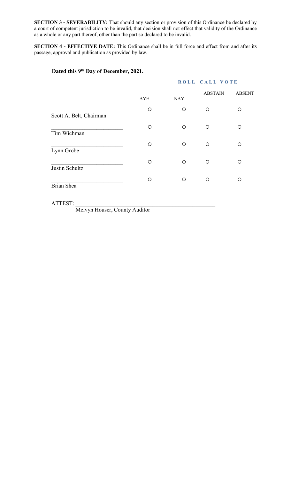**SECTION 3 - SEVERABILITY:** That should any section or provision of this Ordinance be declared by a court of competent jurisdiction to be invalid, that decision shall not effect that validity of the Ordinance as a whole or any part thereof, other than the part so declared to be invalid.

**SECTION 4 - EFFECTIVE DATE:** This Ordinance shall be in full force and effect from and after its passage, approval and publication as provided by law.

## **Dated this 9th Day of December, 2021.**

## **ROLL CALL VOTE**

|                         | <b>AYE</b> | <b>NAY</b> | <b>ABSTAIN</b> | <b>ABSENT</b> |
|-------------------------|------------|------------|----------------|---------------|
| Scott A. Belt, Chairman | O          | O          | ∩              | ∩             |
| Tim Wichman             | $\circ$    | $\circ$    | Ω              | ∩             |
| Lynn Grobe              | O          | $\circ$    | O              | ∩             |
| Justin Schultz          | O          | O          | O              | ∩             |
| <b>Brian Shea</b>       | O          | O          | ∩              | ◯             |

ATTEST: \_\_\_\_\_\_\_\_\_\_\_\_\_\_\_\_\_\_\_\_\_\_\_\_\_\_\_\_\_\_\_\_\_\_\_\_\_\_\_\_\_\_\_\_\_\_\_\_\_

Melvyn Houser, County Auditor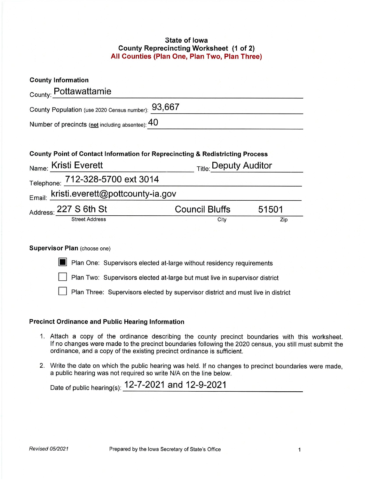#### **State of lowa County Reprecincting Worksheet (1 of 2)** All Counties (Plan One, Plan Two, Plan Three)

| County Point of Contact Information for Reprecincting & Redistricting Process |                                                                                               |  |
|-------------------------------------------------------------------------------|-----------------------------------------------------------------------------------------------|--|
| Title: Deputy Auditor                                                         |                                                                                               |  |
|                                                                               |                                                                                               |  |
|                                                                               |                                                                                               |  |
| Council Bluffs                                                                | 51501                                                                                         |  |
|                                                                               |                                                                                               |  |
|                                                                               | County Population (use 2020 Census number): 93,667<br>Email: kristi.everett@pottcounty-ia.gov |  |

#### **VISOF PIAN (CHOOSE ONE)**

Plan One: Supervisors elected at-large without residency requirements

Plan Two: Supervisors elected at-large but must live in supervisor district

Plan Three: Supervisors elected by supervisor district and must live in district

#### **Precinct Ordinance and Public Hearing Information**

- 1. Attach a copy of the ordinance describing the county precinct boundaries with this worksheet. If no changes were made to the precinct boundaries following the 2020 census, you still must submit the ordinance, and a copy of the existing precinct ordinance is sufficient.
- 2. Write the date on which the public hearing was held. If no changes to precinct boundaries were made, a public hearing was not required so write N/A on the line below.

Date of public hearing(s): 12-7-2021 and 12-9-2021